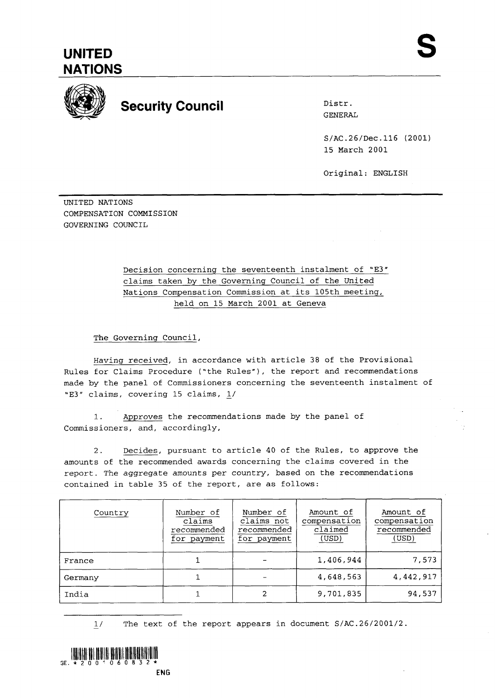

## **Security Council Distress Council Distress**

S/AC.26/Dec.116 (2001) 15 March 2001

Original: ENGLISH

UNITED NATIONS COMPENSATION COMMISSION GOVERNING COUNCIL

> Decision concerning the seventeenth instalment of "E3" claims taken by the Governing Council of the United Nations Compensation Commission at its 105th meeting, held on 15 March 2001 at Geneva

The Governing Council,

Having received, in accordance with article 38 of the Provisional Rules for Claims Procedure ("the Rules"), the report and recommendations made by the panel of Commissioners concerning the seventeenth instalment of "E3" claims, covering 15 claims, L/

1. Approves the recommendations made by the panel of Commissioners, and, accordingly,

2. Decides, pursuant to article 40 of the Rules, to approve the amounts of the recommended awards concerning the claims covered in the report. The aggregate amounts per country, based on the recommendations contained in table 35 of the report, are as follows:

| Country | Number of<br>claims<br>recommended<br>for payment | Number of<br>claims not<br>recommended<br>for payment | Amount of<br>compensation<br>claimed<br>(USD) | Amount of<br>compensation<br>recommended<br>(USD) |
|---------|---------------------------------------------------|-------------------------------------------------------|-----------------------------------------------|---------------------------------------------------|
| France  |                                                   |                                                       | 1,406,944                                     | 7,573                                             |
| Germany |                                                   |                                                       | 4,648,563                                     | 4.442.917                                         |
| India   |                                                   | 2                                                     | 9,701,835                                     | 94,537                                            |

 $1/$ **1/** The text of the report appears in document S/AC.26/2001/2.